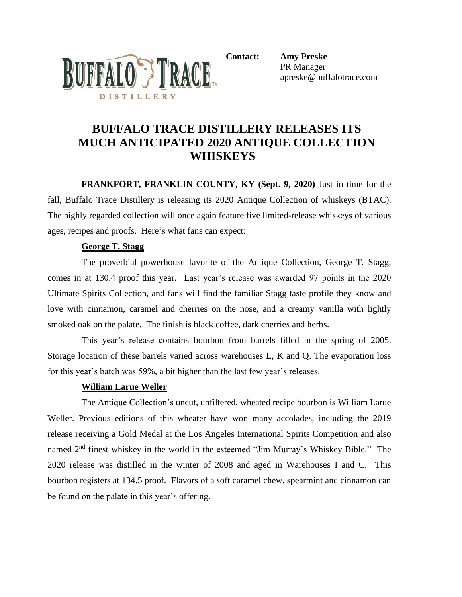

**Contact: Amy Preske**

PR Manager apreske@buffalotrace.com

# **BUFFALO TRACE DISTILLERY RELEASES ITS MUCH ANTICIPATED 2020 ANTIQUE COLLECTION WHISKEYS**

**FRANKFORT, FRANKLIN COUNTY, KY (Sept. 9, 2020)** Just in time for the fall, Buffalo Trace Distillery is releasing its 2020 Antique Collection of whiskeys (BTAC). The highly regarded collection will once again feature five limited-release whiskeys of various ages, recipes and proofs. Here's what fans can expect:

## **George T. Stagg**

The proverbial powerhouse favorite of the Antique Collection, George T. Stagg, comes in at 130.4 proof this year. Last year's release was awarded 97 points in the 2020 Ultimate Spirits Collection, and fans will find the familiar Stagg taste profile they know and love with cinnamon, caramel and cherries on the nose, and a creamy vanilla with lightly smoked oak on the palate. The finish is black coffee, dark cherries and herbs.

This year's release contains bourbon from barrels filled in the spring of 2005. Storage location of these barrels varied across warehouses L, K and Q. The evaporation loss for this year's batch was 59%, a bit higher than the last few year's releases.

## **William Larue Weller**

The Antique Collection's uncut, unfiltered, wheated recipe bourbon is William Larue Weller. Previous editions of this wheater have won many accolades, including the 2019 release receiving a Gold Medal at the Los Angeles International Spirits Competition and also named 2<sup>nd</sup> finest whiskey in the world in the esteemed "Jim Murray's Whiskey Bible." The 2020 release was distilled in the winter of 2008 and aged in Warehouses I and C. This bourbon registers at 134.5 proof. Flavors of a soft caramel chew, spearmint and cinnamon can be found on the palate in this year's offering.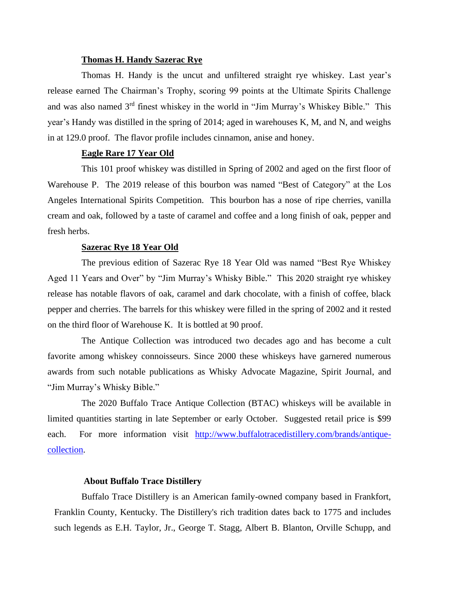#### **Thomas H. Handy Sazerac Rye**

Thomas H. Handy is the uncut and unfiltered straight rye whiskey. Last year's release earned The Chairman's Trophy, scoring 99 points at the Ultimate Spirits Challenge and was also named 3rd finest whiskey in the world in "Jim Murray's Whiskey Bible." This year's Handy was distilled in the spring of 2014; aged in warehouses K, M, and N, and weighs in at 129.0 proof. The flavor profile includes cinnamon, anise and honey.

## **Eagle Rare 17 Year Old**

This 101 proof whiskey was distilled in Spring of 2002 and aged on the first floor of Warehouse P. The 2019 release of this bourbon was named "Best of Category" at the Los Angeles International Spirits Competition. This bourbon has a nose of ripe cherries, vanilla cream and oak, followed by a taste of caramel and coffee and a long finish of oak, pepper and fresh herbs.

#### **Sazerac Rye 18 Year Old**

The previous edition of Sazerac Rye 18 Year Old was named "Best Rye Whiskey Aged 11 Years and Over" by "Jim Murray's Whisky Bible." This 2020 straight rye whiskey release has notable flavors of oak, caramel and dark chocolate, with a finish of coffee, black pepper and cherries. The barrels for this whiskey were filled in the spring of 2002 and it rested on the third floor of Warehouse K. It is bottled at 90 proof.

The Antique Collection was introduced two decades ago and has become a cult favorite among whiskey connoisseurs. Since 2000 these whiskeys have garnered numerous awards from such notable publications as Whisky Advocate Magazine, Spirit Journal, and "Jim Murray's Whisky Bible."

The 2020 Buffalo Trace Antique Collection (BTAC) whiskeys will be available in limited quantities starting in late September or early October. Suggested retail price is \$99 each. For more information visit [http://www.buffalotracedistillery.com/brands/antique](http://www.buffalotracedistillery.com/brands/antique-collection)[collection.](http://www.buffalotracedistillery.com/brands/antique-collection)

### **About Buffalo Trace Distillery**

Buffalo Trace Distillery is an American family-owned company based in Frankfort, Franklin County, Kentucky. The Distillery's rich tradition dates back to 1775 and includes such legends as E.H. Taylor, Jr., George T. Stagg, Albert B. Blanton, Orville Schupp, and